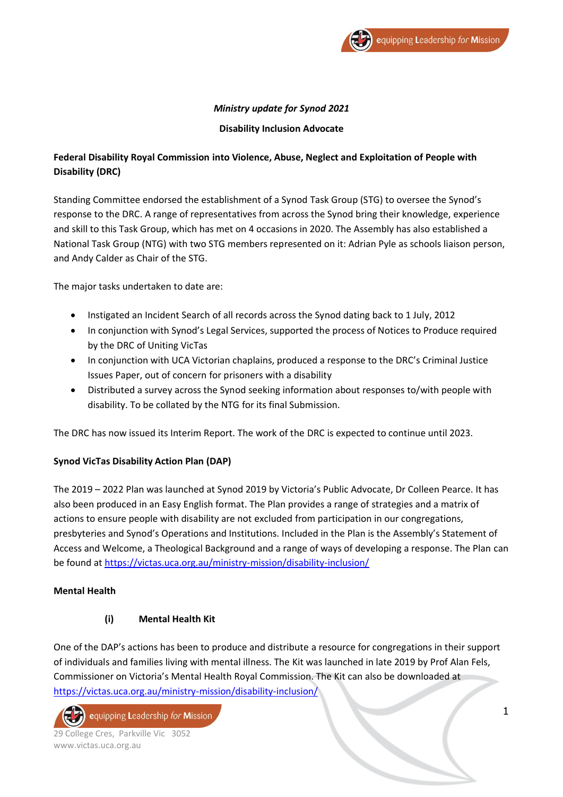

# *Ministry update for Synod 2021*

## **Disability Inclusion Advocate**

# **Federal Disability Royal Commission into Violence, Abuse, Neglect and Exploitation of People with Disability (DRC)**

Standing Committee endorsed the establishment of a Synod Task Group (STG) to oversee the Synod's response to the DRC. A range of representatives from across the Synod bring their knowledge, experience and skill to this Task Group, which has met on 4 occasions in 2020. The Assembly has also established a National Task Group (NTG) with two STG members represented on it: Adrian Pyle as schools liaison person, and Andy Calder as Chair of the STG.

The major tasks undertaken to date are:

- Instigated an Incident Search of all records across the Synod dating back to 1 July, 2012
- In conjunction with Synod's Legal Services, supported the process of Notices to Produce required by the DRC of Uniting VicTas
- In conjunction with UCA Victorian chaplains, produced a response to the DRC's Criminal Justice Issues Paper, out of concern for prisoners with a disability
- Distributed a survey across the Synod seeking information about responses to/with people with disability. To be collated by the NTG for its final Submission.

The DRC has now issued its Interim Report. The work of the DRC is expected to continue until 2023.

# **Synod VicTas Disability Action Plan (DAP)**

The 2019 – 2022 Plan was launched at Synod 2019 by Victoria's Public Advocate, Dr Colleen Pearce. It has also been produced in an Easy English format. The Plan provides a range of strategies and a matrix of actions to ensure people with disability are not excluded from participation in our congregations, presbyteries and Synod's Operations and Institutions. Included in the Plan is the Assembly's Statement of Access and Welcome, a Theological Background and a range of ways of developing a response. The Plan can be found at<https://victas.uca.org.au/ministry-mission/disability-inclusion/>

# **Mental Health**

## **(i) Mental Health Kit**

One of the DAP's actions has been to produce and distribute a resource for congregations in their support of individuals and families living with mental illness. The Kit was launched in late 2019 by Prof Alan Fels, Commissioner on Victoria's Mental Health Royal Commission. The Kit can also be downloaded at <https://victas.uca.org.au/ministry-mission/disability-inclusion/>

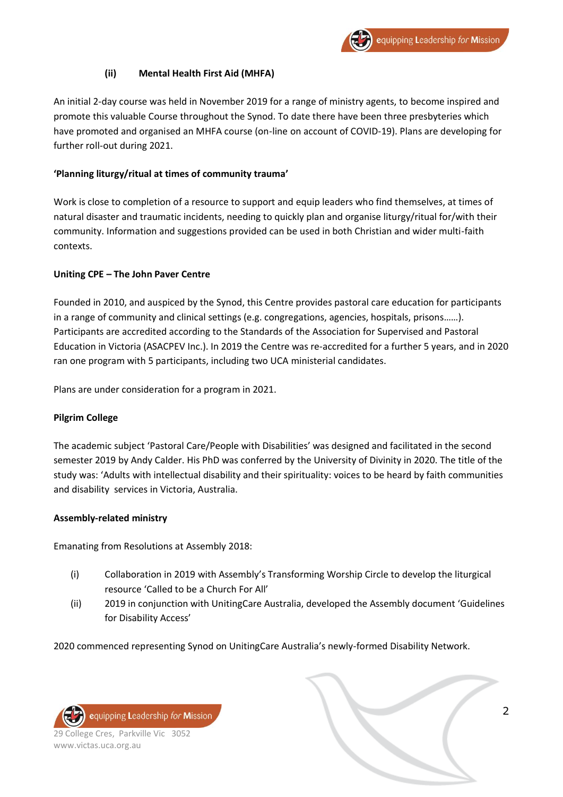# **(ii) Mental Health First Aid (MHFA)**

An initial 2-day course was held in November 2019 for a range of ministry agents, to become inspired and promote this valuable Course throughout the Synod. To date there have been three presbyteries which have promoted and organised an MHFA course (on-line on account of COVID-19). Plans are developing for further roll-out during 2021.

## **'Planning liturgy/ritual at times of community trauma'**

Work is close to completion of a resource to support and equip leaders who find themselves, at times of natural disaster and traumatic incidents, needing to quickly plan and organise liturgy/ritual for/with their community. Information and suggestions provided can be used in both Christian and wider multi-faith contexts.

## **Uniting CPE – The John Paver Centre**

Founded in 2010, and auspiced by the Synod, this Centre provides pastoral care education for participants in a range of community and clinical settings (e.g. congregations, agencies, hospitals, prisons……). Participants are accredited according to the Standards of the Association for Supervised and Pastoral Education in Victoria (ASACPEV Inc.). In 2019 the Centre was re-accredited for a further 5 years, and in 2020 ran one program with 5 participants, including two UCA ministerial candidates.

Plans are under consideration for a program in 2021.

## **Pilgrim College**

The academic subject 'Pastoral Care/People with Disabilities' was designed and facilitated in the second semester 2019 by Andy Calder. His PhD was conferred by the University of Divinity in 2020. The title of the study was: 'Adults with intellectual disability and their spirituality: voices to be heard by faith communities and disability services in Victoria, Australia.

## **Assembly-related ministry**

Emanating from Resolutions at Assembly 2018:

- (i) Collaboration in 2019 with Assembly's Transforming Worship Circle to develop the liturgical resource 'Called to be a Church For All'
- (ii) 2019 in conjunction with UnitingCare Australia, developed the Assembly document 'Guidelines for Disability Access'

2020 commenced representing Synod on UnitingCare Australia's newly-formed Disability Network.